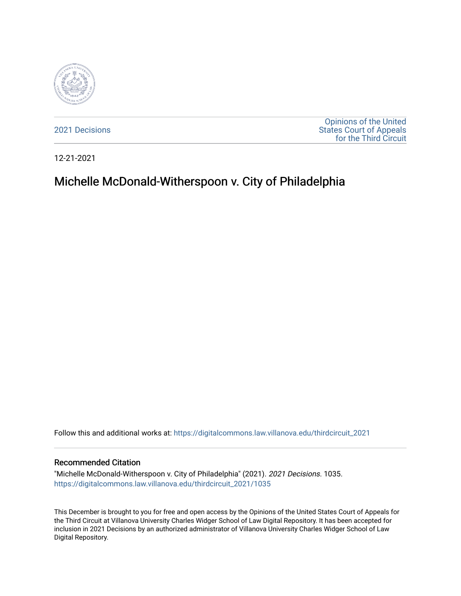

[2021 Decisions](https://digitalcommons.law.villanova.edu/thirdcircuit_2021)

[Opinions of the United](https://digitalcommons.law.villanova.edu/thirdcircuit)  [States Court of Appeals](https://digitalcommons.law.villanova.edu/thirdcircuit)  [for the Third Circuit](https://digitalcommons.law.villanova.edu/thirdcircuit) 

12-21-2021

# Michelle McDonald-Witherspoon v. City of Philadelphia

Follow this and additional works at: [https://digitalcommons.law.villanova.edu/thirdcircuit\\_2021](https://digitalcommons.law.villanova.edu/thirdcircuit_2021?utm_source=digitalcommons.law.villanova.edu%2Fthirdcircuit_2021%2F1035&utm_medium=PDF&utm_campaign=PDFCoverPages) 

#### Recommended Citation

"Michelle McDonald-Witherspoon v. City of Philadelphia" (2021). 2021 Decisions. 1035. [https://digitalcommons.law.villanova.edu/thirdcircuit\\_2021/1035](https://digitalcommons.law.villanova.edu/thirdcircuit_2021/1035?utm_source=digitalcommons.law.villanova.edu%2Fthirdcircuit_2021%2F1035&utm_medium=PDF&utm_campaign=PDFCoverPages) 

This December is brought to you for free and open access by the Opinions of the United States Court of Appeals for the Third Circuit at Villanova University Charles Widger School of Law Digital Repository. It has been accepted for inclusion in 2021 Decisions by an authorized administrator of Villanova University Charles Widger School of Law Digital Repository.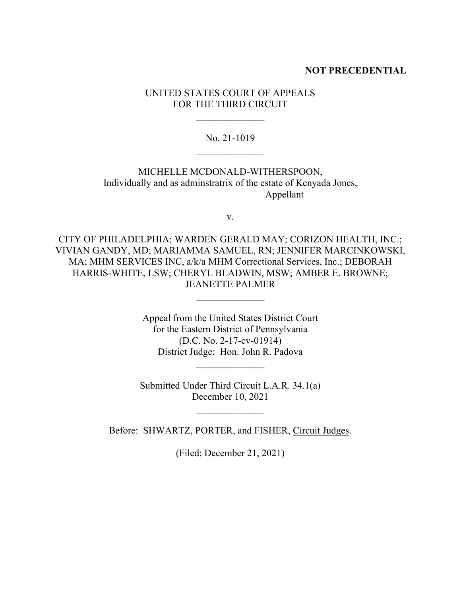#### **NOT PRECEDENTIAL**

UNITED STATES COURT OF APPEALS FOR THE THIRD CIRCUIT

 $\mathcal{L}_\text{max}$ 

No. 21-1019  $\mathcal{L}_\text{max}$ 

MICHELLE MCDONALD-WITHERSPOON, Individually and as adminstratrix of the estate of Kenyada Jones, Appellant

v.

CITY OF PHILADELPHIA; WARDEN GERALD MAY; CORIZON HEALTH, INC.; VIVIAN GANDY, MD; MARIAMMA SAMUEL, RN; JENNIFER MARCINKOWSKI, MA; MHM SERVICES INC, a/k/a MHM Correctional Services, Inc.; DEBORAH HARRIS-WHITE, LSW; CHERYL BLADWIN, MSW; AMBER E. BROWNE; JEANETTE PALMER

 $\mathcal{L}_\text{max}$ 

Appeal from the United States District Court for the Eastern District of Pennsylvania (D.C. No. 2-17-cv-01914) District Judge: Hon. John R. Padova

Submitted Under Third Circuit L.A.R. 34.1(a) December 10, 2021

Before: SHWARTZ, PORTER, and FISHER, Circuit Judges.

(Filed: December 21, 2021)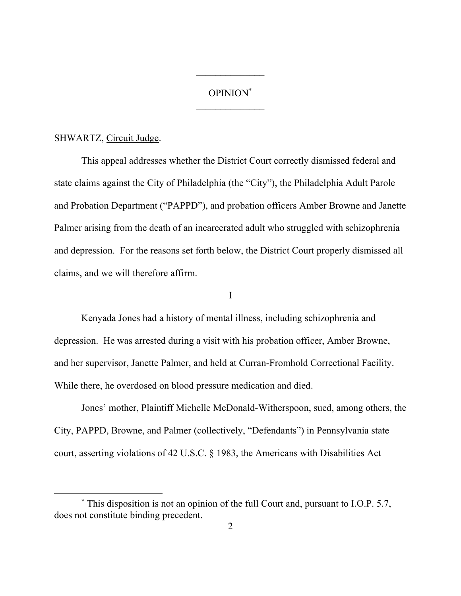# OPINION\*  $\mathcal{L}_\text{max}$

#### SHWARTZ, Circuit Judge.

This appeal addresses whether the District Court correctly dismissed federal and state claims against the City of Philadelphia (the "City"), the Philadelphia Adult Parole and Probation Department ("PAPPD"), and probation officers Amber Browne and Janette Palmer arising from the death of an incarcerated adult who struggled with schizophrenia and depression. For the reasons set forth below, the District Court properly dismissed all claims, and we will therefore affirm.

# I

Kenyada Jones had a history of mental illness, including schizophrenia and depression. He was arrested during a visit with his probation officer, Amber Browne, and her supervisor, Janette Palmer, and held at Curran-Fromhold Correctional Facility. While there, he overdosed on blood pressure medication and died.

Jones' mother, Plaintiff Michelle McDonald-Witherspoon, sued, among others, the City, PAPPD, Browne, and Palmer (collectively, "Defendants") in Pennsylvania state court, asserting violations of 42 U.S.C. § 1983, the Americans with Disabilities Act

<sup>\*</sup> This disposition is not an opinion of the full Court and, pursuant to I.O.P. 5.7, does not constitute binding precedent.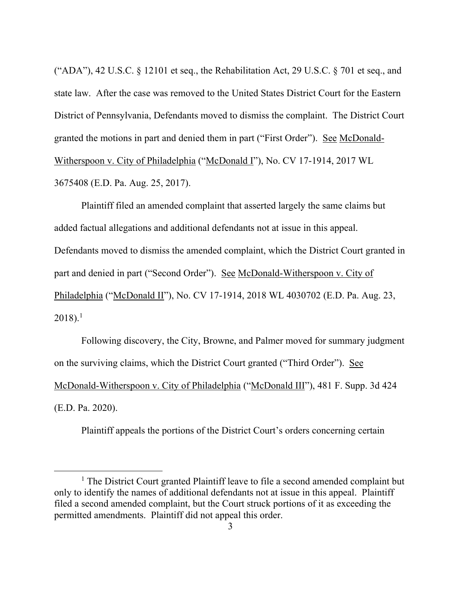("ADA"), 42 U.S.C. § 12101 et seq., the Rehabilitation Act, 29 U.S.C. § 701 et seq., and state law. After the case was removed to the United States District Court for the Eastern District of Pennsylvania, Defendants moved to dismiss the complaint. The District Court granted the motions in part and denied them in part ("First Order"). See McDonald-Witherspoon v. City of Philadelphia ("McDonald I"), No. CV 17-1914, 2017 WL 3675408 (E.D. Pa. Aug. 25, 2017).

Plaintiff filed an amended complaint that asserted largely the same claims but added factual allegations and additional defendants not at issue in this appeal. Defendants moved to dismiss the amended complaint, which the District Court granted in part and denied in part ("Second Order"). See McDonald-Witherspoon v. City of Philadelphia ("McDonald II"), No. CV 17-1914, 2018 WL 4030702 (E.D. Pa. Aug. 23,  $2018$ ).<sup>1</sup>

Following discovery, the City, Browne, and Palmer moved for summary judgment on the surviving claims, which the District Court granted ("Third Order"). See McDonald-Witherspoon v. City of Philadelphia ("McDonald III"), 481 F. Supp. 3d 424 (E.D. Pa. 2020).

Plaintiff appeals the portions of the District Court's orders concerning certain

 $<sup>1</sup>$  The District Court granted Plaintiff leave to file a second amended complaint but</sup> only to identify the names of additional defendants not at issue in this appeal. Plaintiff filed a second amended complaint, but the Court struck portions of it as exceeding the permitted amendments. Plaintiff did not appeal this order.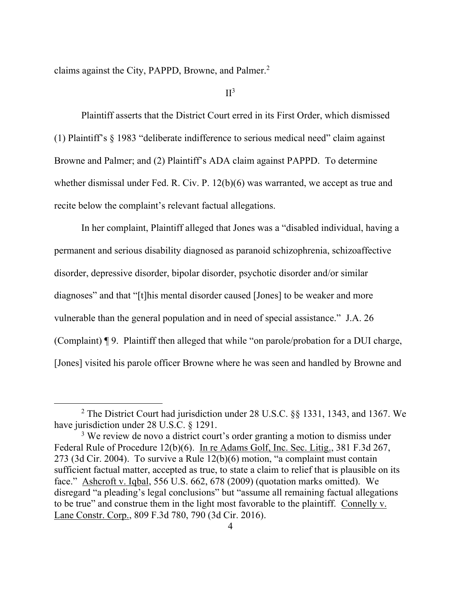claims against the City, PAPPD, Browne, and Palmer.<sup>2</sup>

 $II<sup>3</sup>$ 

Plaintiff asserts that the District Court erred in its First Order, which dismissed (1) Plaintiff's § 1983 "deliberate indifference to serious medical need" claim against Browne and Palmer; and (2) Plaintiff's ADA claim against PAPPD. To determine whether dismissal under Fed. R. Civ. P. 12(b)(6) was warranted, we accept as true and recite below the complaint's relevant factual allegations.

In her complaint, Plaintiff alleged that Jones was a "disabled individual, having a permanent and serious disability diagnosed as paranoid schizophrenia, schizoaffective disorder, depressive disorder, bipolar disorder, psychotic disorder and/or similar diagnoses" and that "[t]his mental disorder caused [Jones] to be weaker and more vulnerable than the general population and in need of special assistance." J.A. 26 (Complaint) ¶ 9. Plaintiff then alleged that while "on parole/probation for a DUI charge, [Jones] visited his parole officer Browne where he was seen and handled by Browne and

<sup>2</sup> The District Court had jurisdiction under 28 U.S.C. §§ 1331, 1343, and 1367. We have jurisdiction under 28 U.S.C. § 1291.

 $3$  We review de novo a district court's order granting a motion to dismiss under Federal Rule of Procedure 12(b)(6). In re Adams Golf, Inc. Sec. Litig., 381 F.3d 267, 273 (3d Cir. 2004). To survive a Rule 12(b)(6) motion, "a complaint must contain sufficient factual matter, accepted as true, to state a claim to relief that is plausible on its face." Ashcroft v. Iqbal, 556 U.S. 662, 678 (2009) (quotation marks omitted). We disregard "a pleading's legal conclusions" but "assume all remaining factual allegations to be true" and construe them in the light most favorable to the plaintiff. Connelly v. Lane Constr. Corp., 809 F.3d 780, 790 (3d Cir. 2016).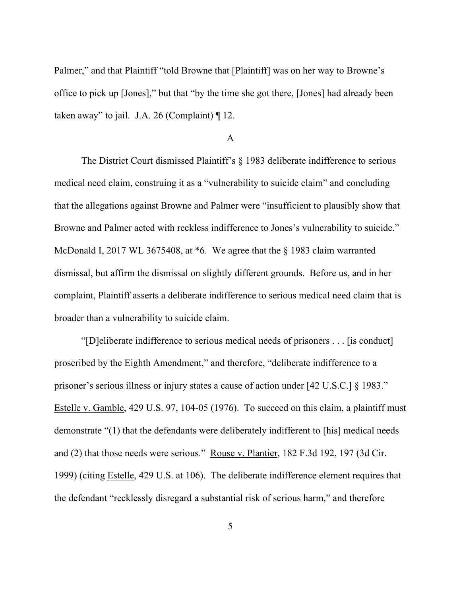Palmer," and that Plaintiff "told Browne that [Plaintiff] was on her way to Browne's office to pick up [Jones]," but that "by the time she got there, [Jones] had already been taken away" to jail. J.A. 26 (Complaint) ¶ 12.

## A

The District Court dismissed Plaintiff's § 1983 deliberate indifference to serious medical need claim, construing it as a "vulnerability to suicide claim" and concluding that the allegations against Browne and Palmer were "insufficient to plausibly show that Browne and Palmer acted with reckless indifference to Jones's vulnerability to suicide." McDonald I, 2017 WL 3675408, at \*6. We agree that the § 1983 claim warranted dismissal, but affirm the dismissal on slightly different grounds. Before us, and in her complaint, Plaintiff asserts a deliberate indifference to serious medical need claim that is broader than a vulnerability to suicide claim.

"[D]eliberate indifference to serious medical needs of prisoners . . . [is conduct] proscribed by the Eighth Amendment," and therefore, "deliberate indifference to a prisoner's serious illness or injury states a cause of action under [42 U.S.C.] § 1983." Estelle v. Gamble, 429 U.S. 97, 104-05 (1976). To succeed on this claim, a plaintiff must demonstrate "(1) that the defendants were deliberately indifferent to [his] medical needs and (2) that those needs were serious." Rouse v. Plantier, 182 F.3d 192, 197 (3d Cir. 1999) (citing Estelle, 429 U.S. at 106). The deliberate indifference element requires that the defendant "recklessly disregard a substantial risk of serious harm," and therefore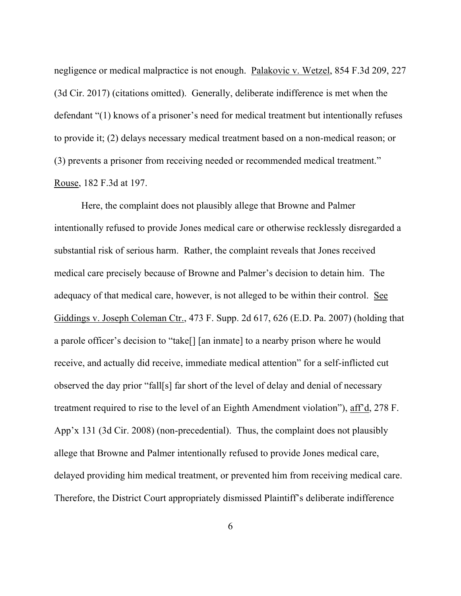negligence or medical malpractice is not enough. Palakovic v. Wetzel, 854 F.3d 209, 227 (3d Cir. 2017) (citations omitted). Generally, deliberate indifference is met when the defendant "(1) knows of a prisoner's need for medical treatment but intentionally refuses to provide it; (2) delays necessary medical treatment based on a non-medical reason; or (3) prevents a prisoner from receiving needed or recommended medical treatment." Rouse, 182 F.3d at 197.

Here, the complaint does not plausibly allege that Browne and Palmer intentionally refused to provide Jones medical care or otherwise recklessly disregarded a substantial risk of serious harm. Rather, the complaint reveals that Jones received medical care precisely because of Browne and Palmer's decision to detain him. The adequacy of that medical care, however, is not alleged to be within their control. See Giddings v. Joseph Coleman Ctr., 473 F. Supp. 2d 617, 626 (E.D. Pa. 2007) (holding that a parole officer's decision to "take[] [an inmate] to a nearby prison where he would receive, and actually did receive, immediate medical attention" for a self-inflicted cut observed the day prior "fall[s] far short of the level of delay and denial of necessary treatment required to rise to the level of an Eighth Amendment violation"), aff'd, 278 F. App'x 131 (3d Cir. 2008) (non-precedential). Thus, the complaint does not plausibly allege that Browne and Palmer intentionally refused to provide Jones medical care, delayed providing him medical treatment, or prevented him from receiving medical care. Therefore, the District Court appropriately dismissed Plaintiff's deliberate indifference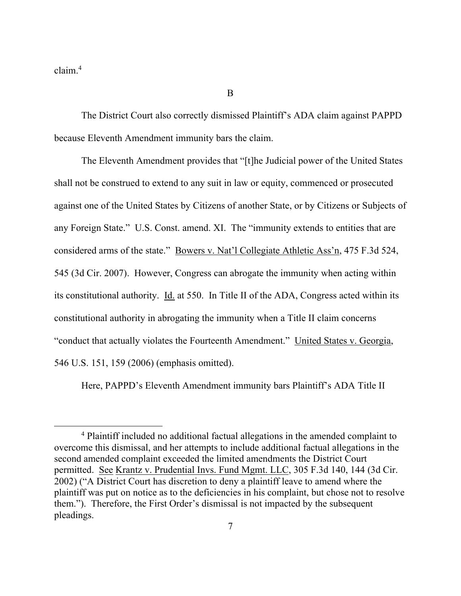claim.<sup>4</sup>

The District Court also correctly dismissed Plaintiff's ADA claim against PAPPD because Eleventh Amendment immunity bars the claim.

B

The Eleventh Amendment provides that "[t]he Judicial power of the United States shall not be construed to extend to any suit in law or equity, commenced or prosecuted against one of the United States by Citizens of another State, or by Citizens or Subjects of any Foreign State." U.S. Const. amend. XI. The "immunity extends to entities that are considered arms of the state." Bowers v. Nat'l Collegiate Athletic Ass'n, 475 F.3d 524, 545 (3d Cir. 2007). However, Congress can abrogate the immunity when acting within its constitutional authority. Id. at 550. In Title II of the ADA, Congress acted within its constitutional authority in abrogating the immunity when a Title II claim concerns "conduct that actually violates the Fourteenth Amendment." United States v. Georgia, 546 U.S. 151, 159 (2006) (emphasis omitted).

Here, PAPPD's Eleventh Amendment immunity bars Plaintiff's ADA Title II

<sup>4</sup> Plaintiff included no additional factual allegations in the amended complaint to overcome this dismissal, and her attempts to include additional factual allegations in the second amended complaint exceeded the limited amendments the District Court permitted. See Krantz v. Prudential Invs. Fund Mgmt. LLC, 305 F.3d 140, 144 (3d Cir. 2002) ("A District Court has discretion to deny a plaintiff leave to amend where the plaintiff was put on notice as to the deficiencies in his complaint, but chose not to resolve them."). Therefore, the First Order's dismissal is not impacted by the subsequent pleadings.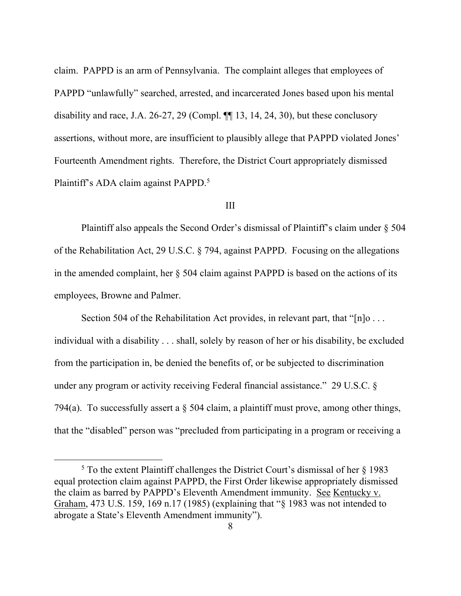claim. PAPPD is an arm of Pennsylvania.The complaint alleges that employees of PAPPD "unlawfully" searched, arrested, and incarcerated Jones based upon his mental disability and race, J.A. 26-27, 29 (Compl. ¶¶ 13, 14, 24, 30), but these conclusory assertions, without more, are insufficient to plausibly allege that PAPPD violated Jones' Fourteenth Amendment rights. Therefore, the District Court appropriately dismissed Plaintiff's ADA claim against PAPPD.<sup>5</sup>

#### III

Plaintiff also appeals the Second Order's dismissal of Plaintiff's claim under § 504 of the Rehabilitation Act, 29 U.S.C. § 794, against PAPPD. Focusing on the allegations in the amended complaint, her § 504 claim against PAPPD is based on the actions of its employees, Browne and Palmer.

Section 504 of the Rehabilitation Act provides, in relevant part, that " $[n]$ o... individual with a disability . . . shall, solely by reason of her or his disability, be excluded from the participation in, be denied the benefits of, or be subjected to discrimination under any program or activity receiving Federal financial assistance." 29 U.S.C. § 794(a). To successfully assert a  $\S$  504 claim, a plaintiff must prove, among other things, that the "disabled" person was "precluded from participating in a program or receiving a

 $5$  To the extent Plaintiff challenges the District Court's dismissal of her  $\frac{1}{2}$  1983 equal protection claim against PAPPD, the First Order likewise appropriately dismissed the claim as barred by PAPPD's Eleventh Amendment immunity. See Kentucky v. Graham, 473 U.S. 159, 169 n.17 (1985) (explaining that "§ 1983 was not intended to abrogate a State's Eleventh Amendment immunity").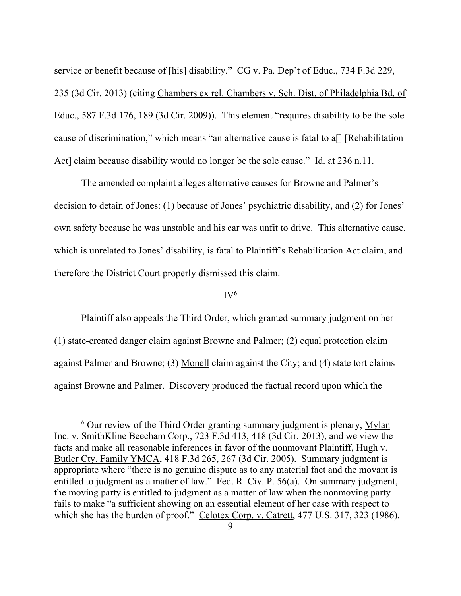service or benefit because of [his] disability." CG v. Pa. Dep't of Educ., 734 F.3d 229, 235 (3d Cir. 2013) (citing Chambers ex rel. Chambers v. Sch. Dist. of Philadelphia Bd. of Educ., 587 F.3d 176, 189 (3d Cir. 2009)). This element "requires disability to be the sole cause of discrimination," which means "an alternative cause is fatal to a[] [Rehabilitation Act] claim because disability would no longer be the sole cause." Id. at 236 n.11.

The amended complaint alleges alternative causes for Browne and Palmer's decision to detain of Jones: (1) because of Jones' psychiatric disability, and (2) for Jones' own safety because he was unstable and his car was unfit to drive. This alternative cause, which is unrelated to Jones' disability, is fatal to Plaintiff's Rehabilitation Act claim, and therefore the District Court properly dismissed this claim.

# $IV<sup>6</sup>$

Plaintiff also appeals the Third Order, which granted summary judgment on her (1) state-created danger claim against Browne and Palmer; (2) equal protection claim against Palmer and Browne; (3) Monell claim against the City; and (4) state tort claims against Browne and Palmer. Discovery produced the factual record upon which the

 $6$  Our review of the Third Order granting summary judgment is plenary,  $Mylan$ Inc. v. SmithKline Beecham Corp., 723 F.3d 413, 418 (3d Cir. 2013), and we view the facts and make all reasonable inferences in favor of the nonmovant Plaintiff, Hugh v. Butler Cty. Family YMCA, 418 F.3d 265, 267 (3d Cir. 2005). Summary judgment is appropriate where "there is no genuine dispute as to any material fact and the movant is entitled to judgment as a matter of law." Fed. R. Civ. P. 56(a). On summary judgment, the moving party is entitled to judgment as a matter of law when the nonmoving party fails to make "a sufficient showing on an essential element of her case with respect to which she has the burden of proof." Celotex Corp. v. Catrett, 477 U.S. 317, 323 (1986).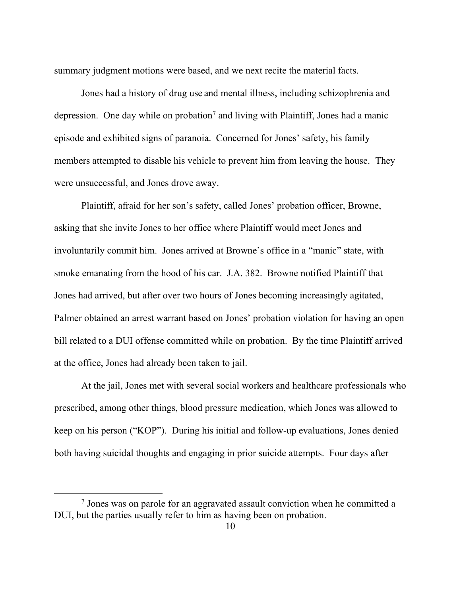summary judgment motions were based, and we next recite the material facts.

Jones had a history of drug use and mental illness, including schizophrenia and depression. One day while on probation<sup>7</sup> and living with Plaintiff, Jones had a manic episode and exhibited signs of paranoia. Concerned for Jones' safety, his family members attempted to disable his vehicle to prevent him from leaving the house. They were unsuccessful, and Jones drove away.

Plaintiff, afraid for her son's safety, called Jones' probation officer, Browne, asking that she invite Jones to her office where Plaintiff would meet Jones and involuntarily commit him. Jones arrived at Browne's office in a "manic" state, with smoke emanating from the hood of his car. J.A. 382. Browne notified Plaintiff that Jones had arrived, but after over two hours of Jones becoming increasingly agitated, Palmer obtained an arrest warrant based on Jones' probation violation for having an open bill related to a DUI offense committed while on probation. By the time Plaintiff arrived at the office, Jones had already been taken to jail.

At the jail, Jones met with several social workers and healthcare professionals who prescribed, among other things, blood pressure medication, which Jones was allowed to keep on his person ("KOP"). During his initial and follow-up evaluations, Jones denied both having suicidal thoughts and engaging in prior suicide attempts. Four days after

<sup>&</sup>lt;sup>7</sup> Jones was on parole for an aggravated assault conviction when he committed a DUI, but the parties usually refer to him as having been on probation.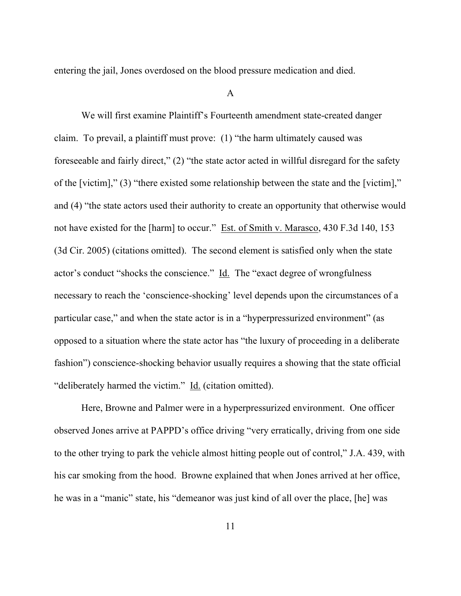entering the jail, Jones overdosed on the blood pressure medication and died.

## A

We will first examine Plaintiff's Fourteenth amendment state-created danger claim. To prevail, a plaintiff must prove: (1) "the harm ultimately caused was foreseeable and fairly direct," (2) "the state actor acted in willful disregard for the safety of the [victim]," (3) "there existed some relationship between the state and the [victim]," and (4) "the state actors used their authority to create an opportunity that otherwise would not have existed for the [harm] to occur." Est. of Smith v. Marasco, 430 F.3d 140, 153 (3d Cir. 2005) (citations omitted). The second element is satisfied only when the state actor's conduct "shocks the conscience." Id. The "exact degree of wrongfulness necessary to reach the 'conscience-shocking' level depends upon the circumstances of a particular case," and when the state actor is in a "hyperpressurized environment" (as opposed to a situation where the state actor has "the luxury of proceeding in a deliberate fashion") conscience-shocking behavior usually requires a showing that the state official "deliberately harmed the victim." Id. (citation omitted).

Here, Browne and Palmer were in a hyperpressurized environment. One officer observed Jones arrive at PAPPD's office driving "very erratically, driving from one side to the other trying to park the vehicle almost hitting people out of control," J.A. 439, with his car smoking from the hood. Browne explained that when Jones arrived at her office, he was in a "manic" state, his "demeanor was just kind of all over the place, [he] was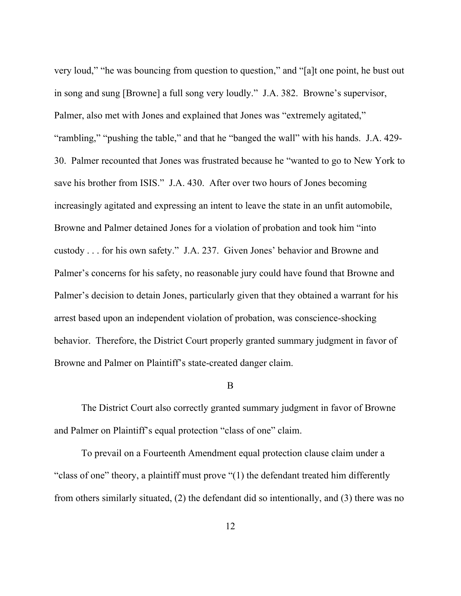very loud," "he was bouncing from question to question," and "[a]t one point, he bust out in song and sung [Browne] a full song very loudly." J.A. 382. Browne's supervisor, Palmer, also met with Jones and explained that Jones was "extremely agitated," "rambling," "pushing the table," and that he "banged the wall" with his hands. J.A. 429- 30. Palmer recounted that Jones was frustrated because he "wanted to go to New York to save his brother from ISIS." J.A. 430. After over two hours of Jones becoming increasingly agitated and expressing an intent to leave the state in an unfit automobile, Browne and Palmer detained Jones for a violation of probation and took him "into custody . . . for his own safety." J.A. 237. Given Jones' behavior and Browne and Palmer's concerns for his safety, no reasonable jury could have found that Browne and Palmer's decision to detain Jones, particularly given that they obtained a warrant for his arrest based upon an independent violation of probation, was conscience-shocking behavior. Therefore, the District Court properly granted summary judgment in favor of Browne and Palmer on Plaintiff's state-created danger claim.

#### B

The District Court also correctly granted summary judgment in favor of Browne and Palmer on Plaintiff's equal protection "class of one" claim.

To prevail on a Fourteenth Amendment equal protection clause claim under a "class of one" theory, a plaintiff must prove "(1) the defendant treated him differently from others similarly situated, (2) the defendant did so intentionally, and (3) there was no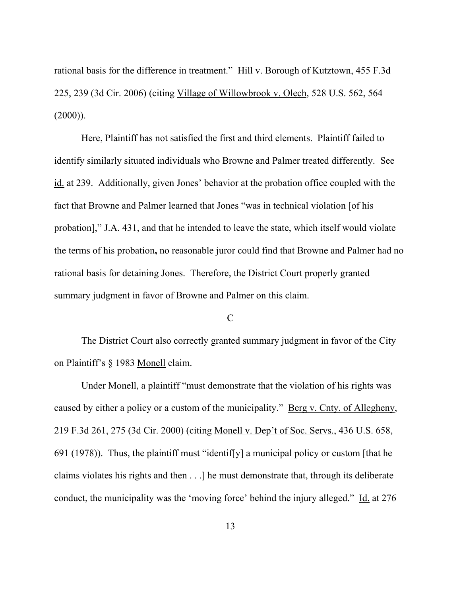rational basis for the difference in treatment." Hill v. Borough of Kutztown, 455 F.3d 225, 239 (3d Cir. 2006) (citing Village of Willowbrook v. Olech, 528 U.S. 562, 564  $(2000)$ ).

Here, Plaintiff has not satisfied the first and third elements. Plaintiff failed to identify similarly situated individuals who Browne and Palmer treated differently. See id. at 239. Additionally, given Jones' behavior at the probation office coupled with the fact that Browne and Palmer learned that Jones "was in technical violation [of his probation]," J.A. 431, and that he intended to leave the state, which itself would violate the terms of his probation**,** no reasonable juror could find that Browne and Palmer had no rational basis for detaining Jones. Therefore, the District Court properly granted summary judgment in favor of Browne and Palmer on this claim.

#### C

The District Court also correctly granted summary judgment in favor of the City on Plaintiff's § 1983 Monell claim.

Under Monell, a plaintiff "must demonstrate that the violation of his rights was caused by either a policy or a custom of the municipality." Berg v. Cnty. of Allegheny, 219 F.3d 261, 275 (3d Cir. 2000) (citing Monell v. Dep't of Soc. Servs., 436 U.S. 658, 691 (1978)). Thus, the plaintiff must "identiffy] a municipal policy or custom [that he claims violates his rights and then . . .] he must demonstrate that, through its deliberate conduct, the municipality was the 'moving force' behind the injury alleged." Id. at 276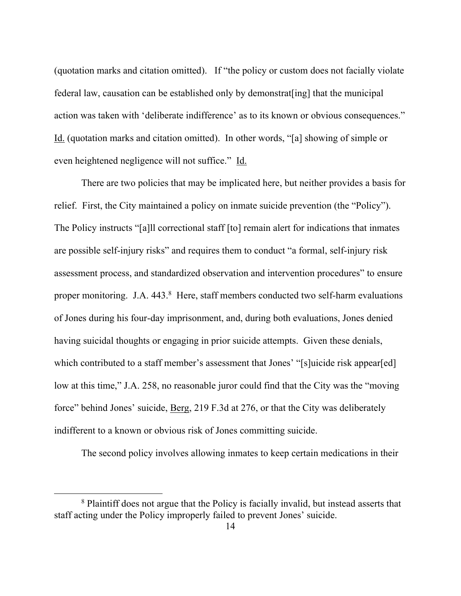(quotation marks and citation omitted). If "the policy or custom does not facially violate federal law, causation can be established only by demonstrat[ing] that the municipal action was taken with 'deliberate indifference' as to its known or obvious consequences." Id. (quotation marks and citation omitted). In other words, "[a] showing of simple or even heightened negligence will not suffice." Id.

There are two policies that may be implicated here, but neither provides a basis for relief. First, the City maintained a policy on inmate suicide prevention (the "Policy"). The Policy instructs "[a]ll correctional staff [to] remain alert for indications that inmates are possible self-injury risks" and requires them to conduct "a formal, self-injury risk assessment process, and standardized observation and intervention procedures" to ensure proper monitoring. J.A. 443.8 Here, staff members conducted two self-harm evaluations of Jones during his four-day imprisonment, and, during both evaluations, Jones denied having suicidal thoughts or engaging in prior suicide attempts. Given these denials, which contributed to a staff member's assessment that Jones' "[s]uicide risk appear[ed] low at this time," J.A. 258, no reasonable juror could find that the City was the "moving force" behind Jones' suicide, <u>Berg</u>, 219 F.3d at 276, or that the City was deliberately indifferent to a known or obvious risk of Jones committing suicide.

The second policy involves allowing inmates to keep certain medications in their

<sup>&</sup>lt;sup>8</sup> Plaintiff does not argue that the Policy is facially invalid, but instead asserts that staff acting under the Policy improperly failed to prevent Jones' suicide.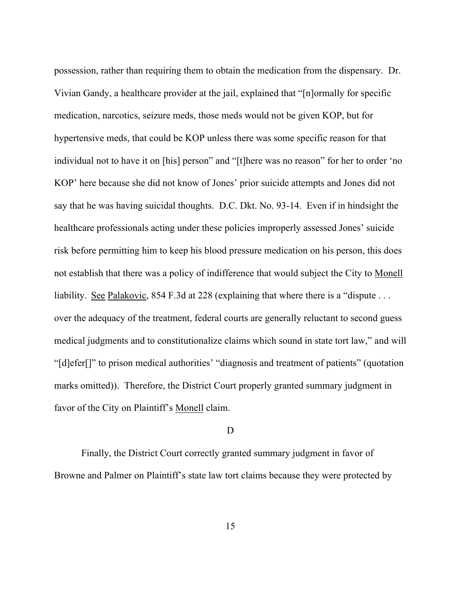possession, rather than requiring them to obtain the medication from the dispensary. Dr. Vivian Gandy, a healthcare provider at the jail, explained that "[n]ormally for specific medication, narcotics, seizure meds, those meds would not be given KOP, but for hypertensive meds, that could be KOP unless there was some specific reason for that individual not to have it on [his] person" and "[t]here was no reason" for her to order 'no KOP' here because she did not know of Jones' prior suicide attempts and Jones did not say that he was having suicidal thoughts. D.C. Dkt. No. 93-14. Even if in hindsight the healthcare professionals acting under these policies improperly assessed Jones' suicide risk before permitting him to keep his blood pressure medication on his person, this does not establish that there was a policy of indifference that would subject the City to Monell liability. See Palakovic, 854 F.3d at 228 (explaining that where there is a "dispute ... over the adequacy of the treatment, federal courts are generally reluctant to second guess medical judgments and to constitutionalize claims which sound in state tort law," and will "[d]efer[]" to prison medical authorities' "diagnosis and treatment of patients" (quotation marks omitted)). Therefore, the District Court properly granted summary judgment in favor of the City on Plaintiff's Monell claim.

## D

Finally, the District Court correctly granted summary judgment in favor of Browne and Palmer on Plaintiff's state law tort claims because they were protected by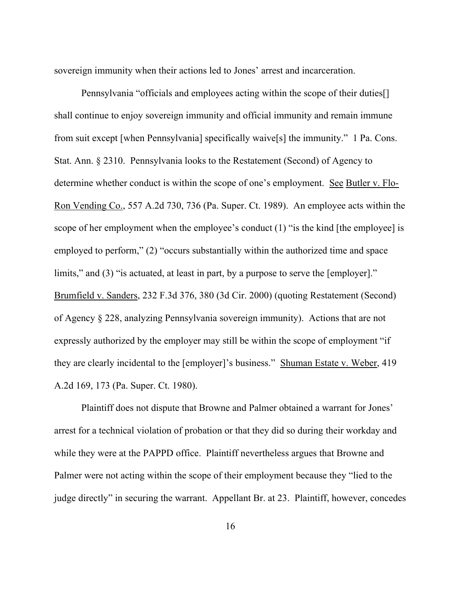sovereign immunity when their actions led to Jones' arrest and incarceration.

Pennsylvania "officials and employees acting within the scope of their duties[] shall continue to enjoy sovereign immunity and official immunity and remain immune from suit except [when Pennsylvania] specifically waive[s] the immunity." 1 Pa. Cons. Stat. Ann. § 2310. Pennsylvania looks to the Restatement (Second) of Agency to determine whether conduct is within the scope of one's employment. See Butler v. Flo-Ron Vending Co., 557 A.2d 730, 736 (Pa. Super. Ct. 1989). An employee acts within the scope of her employment when the employee's conduct (1) "is the kind [the employee] is employed to perform," (2) "occurs substantially within the authorized time and space limits," and (3) "is actuated, at least in part, by a purpose to serve the [employer]." Brumfield v. Sanders, 232 F.3d 376, 380 (3d Cir. 2000) (quoting Restatement (Second) of Agency § 228, analyzing Pennsylvania sovereign immunity). Actions that are not expressly authorized by the employer may still be within the scope of employment "if they are clearly incidental to the [employer]'s business." Shuman Estate v. Weber, 419 A.2d 169, 173 (Pa. Super. Ct. 1980).

Plaintiff does not dispute that Browne and Palmer obtained a warrant for Jones' arrest for a technical violation of probation or that they did so during their workday and while they were at the PAPPD office. Plaintiff nevertheless argues that Browne and Palmer were not acting within the scope of their employment because they "lied to the judge directly" in securing the warrant. Appellant Br. at 23. Plaintiff, however, concedes